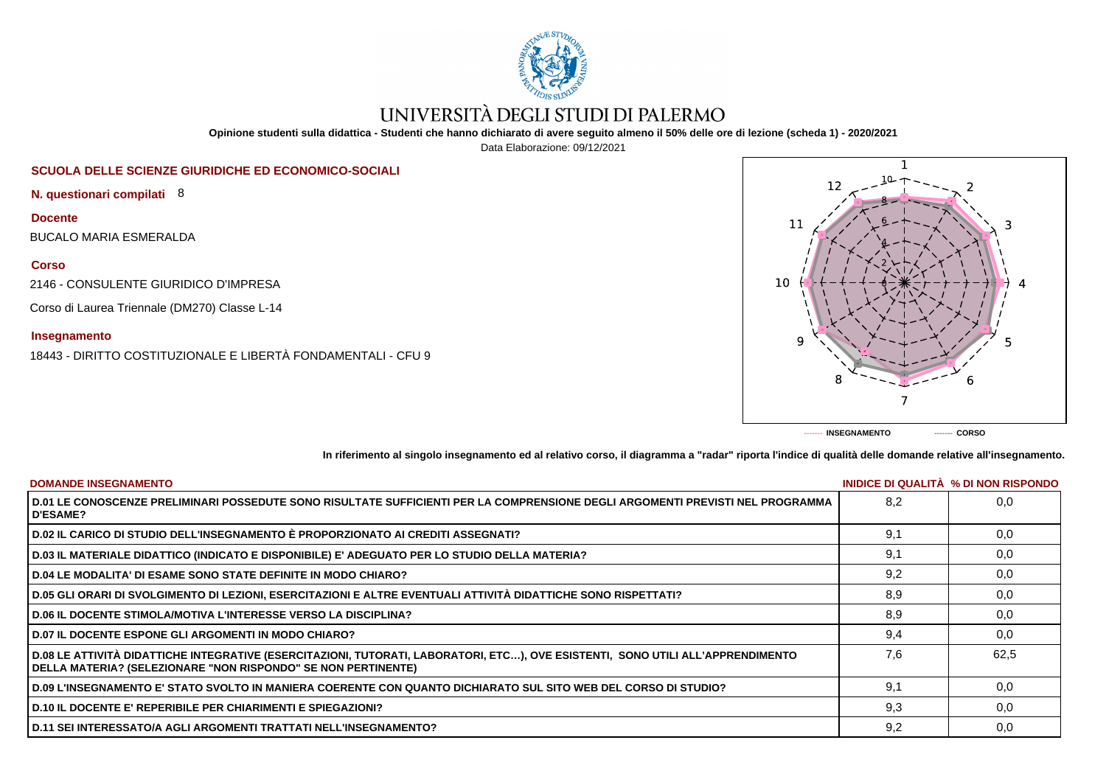

# UNIVERSITÀ DEGLI STUDI DI PALERMO

**Opinione studenti sulla didattica - Studenti che hanno dichiarato di avere seguito almeno il 50% delle ore di lezione (scheda 1) - 2020/2021**

Data Elaborazione: 09/12/2021

# **SCUOLA DELLE SCIENZE GIURIDICHE ED ECONOMICO-SOCIALI**

**N. questionari compilati** 8

**Docente**

BUCALO MARIA ESMERALDA

**Corso**

2146 - CONSULENTE GIURIDICO D'IMPRESA

Corso di Laurea Triennale (DM270) Classe L-14

## **Insegnamento**

18443 - DIRITTO COSTITUZIONALE E LIBERTÀ FONDAMENTALI - CFU 9



**In riferimento al singolo insegnamento ed al relativo corso, il diagramma a "radar" riporta l'indice di qualità delle domande relative all'insegnamento.**

| <b>DOMANDE INSEGNAMENTO</b>                                                                                                                                                                             |     | INIDICE DI QUALITA % DI NON RISPONDO |
|---------------------------------------------------------------------------------------------------------------------------------------------------------------------------------------------------------|-----|--------------------------------------|
| D.01 LE CONOSCENZE PRELIMINARI POSSEDUTE SONO RISULTATE SUFFICIENTI PER LA COMPRENSIONE DEGLI ARGOMENTI PREVISTI NEL PROGRAMMA<br><b>D'ESAME?</b>                                                       | 8.2 | 0.0                                  |
| D.02 IL CARICO DI STUDIO DELL'INSEGNAMENTO È PROPORZIONATO AI CREDITI ASSEGNATI?                                                                                                                        | 9.1 | 0.0                                  |
| D.03 IL MATERIALE DIDATTICO (INDICATO E DISPONIBILE) E' ADEGUATO PER LO STUDIO DELLA MATERIA?                                                                                                           | 9,1 | 0,0                                  |
| D.04 LE MODALITA' DI ESAME SONO STATE DEFINITE IN MODO CHIARO?                                                                                                                                          | 9,2 | 0,0                                  |
| D.05 GLI ORARI DI SVOLGIMENTO DI LEZIONI, ESERCITAZIONI E ALTRE EVENTUALI ATTIVITÀ DIDATTICHE SONO RISPETTATI?                                                                                          | 8,9 | 0,0                                  |
| <b>D.06 IL DOCENTE STIMOLA/MOTIVA L'INTERESSE VERSO LA DISCIPLINA?</b>                                                                                                                                  | 8,9 | 0,0                                  |
| <b>D.07 IL DOCENTE ESPONE GLI ARGOMENTI IN MODO CHIARO?</b>                                                                                                                                             | 9.4 | 0.0                                  |
| D.08 LE ATTIVITÀ DIDATTICHE INTEGRATIVE (ESERCITAZIONI, TUTORATI, LABORATORI, ETC), OVE ESISTENTI, SONO UTILI ALL'APPRENDIMENTO<br><b>DELLA MATERIA? (SELEZIONARE "NON RISPONDO" SE NON PERTINENTE)</b> | 7.6 | 62.5                                 |
| D.09 L'INSEGNAMENTO E' STATO SVOLTO IN MANIERA COERENTE CON QUANTO DICHIARATO SUL SITO WEB DEL CORSO DI STUDIO?                                                                                         | 9.1 | 0.0                                  |
| <b>D.10 IL DOCENTE E' REPERIBILE PER CHIARIMENTI E SPIEGAZIONI?</b>                                                                                                                                     | 9.3 | 0.0                                  |
| ∣ D.11 SEI INTERESSATO/A AGLI ARGOMENTI TRATTATI NELL'INSEGNAMENTO?                                                                                                                                     | 9,2 | 0,0                                  |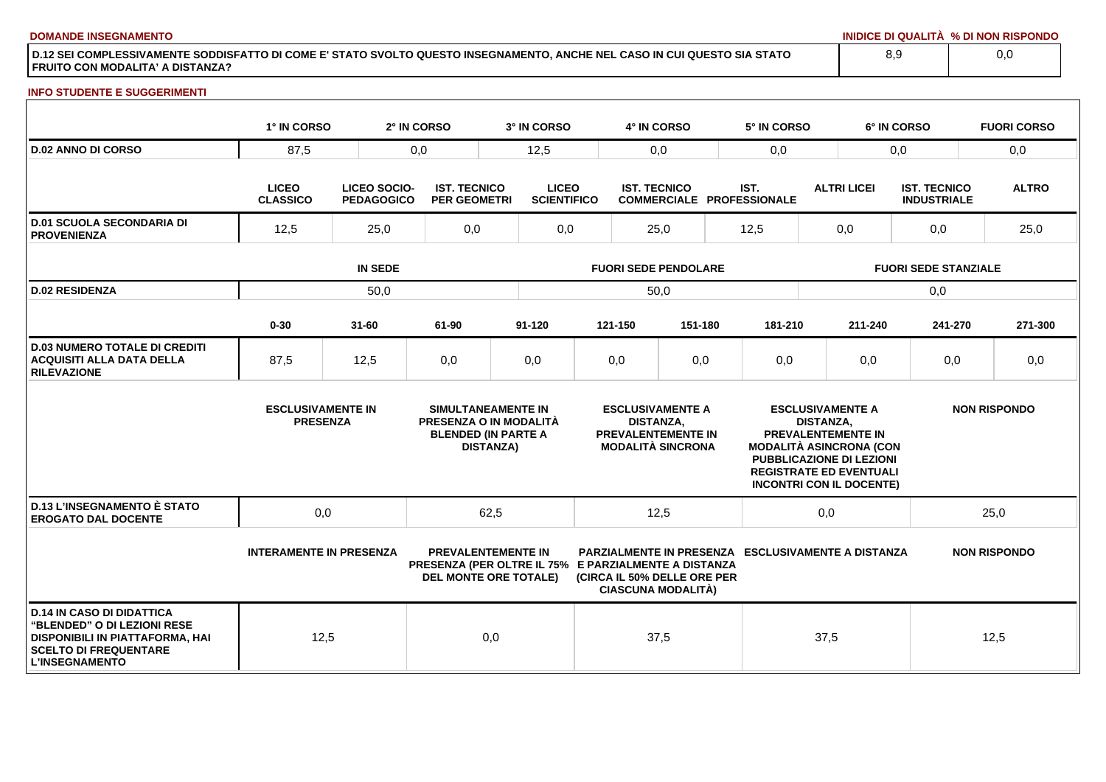**DOMANDE INSEGNAMENTO INIDICE DI QUALITÀ % DI NON RISPONDO**

**D.12 SEI COMPLESSIVAMENTE SODDISFATTO DI COME E' STATO SVOLTO QUESTO INSEGNAMENTO, ANCHE NEL CASO IN CUI QUESTO SIA STATO FRUITO CON MODALITA' A DISTANZA?**

### **INFO STUDENTE E SUGGERIMENTI**

|                                                                                                                                                                    | 1° IN CORSO                                 |                                          | 2° IN CORSO                                | 3° IN CORSO                                                                                                       |                             |                                                         | 4° IN CORSO                                                                      |      | 5° IN CORSO                                               |                             | 6° IN CORSO                                                                                                                                                                      |                                           |                     | <b>FUORI CORSO</b> |
|--------------------------------------------------------------------------------------------------------------------------------------------------------------------|---------------------------------------------|------------------------------------------|--------------------------------------------|-------------------------------------------------------------------------------------------------------------------|-----------------------------|---------------------------------------------------------|----------------------------------------------------------------------------------|------|-----------------------------------------------------------|-----------------------------|----------------------------------------------------------------------------------------------------------------------------------------------------------------------------------|-------------------------------------------|---------------------|--------------------|
| <b>D.02 ANNO DI CORSO</b>                                                                                                                                          | 87,5                                        |                                          | 0,0                                        | 12,5                                                                                                              | 0,0                         |                                                         | 0,0                                                                              |      | 0,0                                                       |                             |                                                                                                                                                                                  | 0,0                                       |                     |                    |
|                                                                                                                                                                    | <b>LICEO</b><br><b>CLASSICO</b>             | <b>LICEO SOCIO-</b><br><b>PEDAGOGICO</b> | <b>IST. TECNICO</b><br><b>PER GEOMETRI</b> | <b>LICEO</b>                                                                                                      | <b>SCIENTIFICO</b>          | <b>IST. TECNICO</b><br><b>COMMERCIALE PROFESSIONALE</b> |                                                                                  | IST. |                                                           | <b>ALTRI LICEI</b>          |                                                                                                                                                                                  | <b>IST. TECNICO</b><br><b>INDUSTRIALE</b> |                     | <b>ALTRO</b>       |
| <b>D.01 SCUOLA SECONDARIA DI</b><br><b>PROVENIENZA</b>                                                                                                             | 12,5                                        | 25,0                                     |                                            |                                                                                                                   | 0,0<br>25,0                 |                                                         | 12,5                                                                             |      | 0,0                                                       |                             | 0,0                                                                                                                                                                              |                                           | 25,0                |                    |
|                                                                                                                                                                    |                                             | <b>IN SEDE</b>                           |                                            |                                                                                                                   | <b>FUORI SEDE PENDOLARE</b> |                                                         |                                                                                  |      |                                                           | <b>FUORI SEDE STANZIALE</b> |                                                                                                                                                                                  |                                           |                     |                    |
| <b>D.02 RESIDENZA</b>                                                                                                                                              |                                             | 50,0                                     |                                            |                                                                                                                   |                             |                                                         | 50,0                                                                             |      |                                                           |                             |                                                                                                                                                                                  | 0,0                                       |                     |                    |
|                                                                                                                                                                    | $0 - 30$                                    | $31 - 60$                                | 61-90                                      | $91 - 120$                                                                                                        |                             | 121-150                                                 | 151-180                                                                          |      | 181-210                                                   |                             | 211-240                                                                                                                                                                          | 241-270                                   |                     | 271-300            |
| <b>D.03 NUMERO TOTALE DI CREDITI</b><br><b>ACQUISITI ALLA DATA DELLA</b><br><b>RILEVAZIONE</b>                                                                     | 87,5                                        | 12,5                                     | 0,0                                        | 0,0                                                                                                               |                             | 0,0                                                     | 0,0                                                                              |      | 0,0                                                       |                             | 0,0                                                                                                                                                                              | 0,0                                       |                     | 0,0                |
|                                                                                                                                                                    | <b>ESCLUSIVAMENTE IN</b><br><b>PRESENZA</b> |                                          |                                            | SIMULTANEAMENTE IN<br>PRESENZA O IN MODALITÀ<br><b>BLENDED (IN PARTE A</b><br><b>DISTANZA)</b>                    |                             | <b>DISTANZA,</b>                                        | <b>ESCLUSIVAMENTE A</b><br><b>PREVALENTEMENTE IN</b><br><b>MODALITÀ SINCRONA</b> |      |                                                           | <b>DISTANZA.</b>            | <b>ESCLUSIVAMENTE A</b><br>PREVALENTEMENTE IN<br><b>MODALITÀ ASINCRONA (CON</b><br>PUBBLICAZIONE DI LEZIONI<br><b>REGISTRATE ED EVENTUALI</b><br><b>INCONTRI CON IL DOCENTE)</b> |                                           | <b>NON RISPONDO</b> |                    |
| <b>D.13 L'INSEGNAMENTO È STATO</b><br><b>EROGATO DAL DOCENTE</b>                                                                                                   | 0,0                                         |                                          |                                            | 62,5                                                                                                              |                             |                                                         | 12,5                                                                             |      |                                                           | 0,0                         |                                                                                                                                                                                  |                                           | 25,0                |                    |
|                                                                                                                                                                    | <b>INTERAMENTE IN PRESENZA</b>              |                                          |                                            | <b>PREVALENTEMENTE IN</b><br>PRESENZA (PER OLTRE IL 75% E PARZIALMENTE A DISTANZA<br><b>DEL MONTE ORE TOTALE)</b> |                             |                                                         | (CIRCA IL 50% DELLE ORE PER<br><b>CIASCUNA MODALITÀ)</b>                         |      | <b>PARZIALMENTE IN PRESENZA ESCLUSIVAMENTE A DISTANZA</b> |                             |                                                                                                                                                                                  |                                           | <b>NON RISPONDO</b> |                    |
| <b>D.14 IN CASO DI DIDATTICA</b><br><b>"BLENDED" O DI LEZIONI RESE</b><br>DISPONIBILI IN PIATTAFORMA, HAI<br><b>SCELTO DI FREQUENTARE</b><br><b>L'INSEGNAMENTO</b> | 12,5                                        |                                          |                                            | 0,0                                                                                                               |                             |                                                         | 37,5                                                                             |      |                                                           | 37,5                        |                                                                                                                                                                                  |                                           | 12,5                |                    |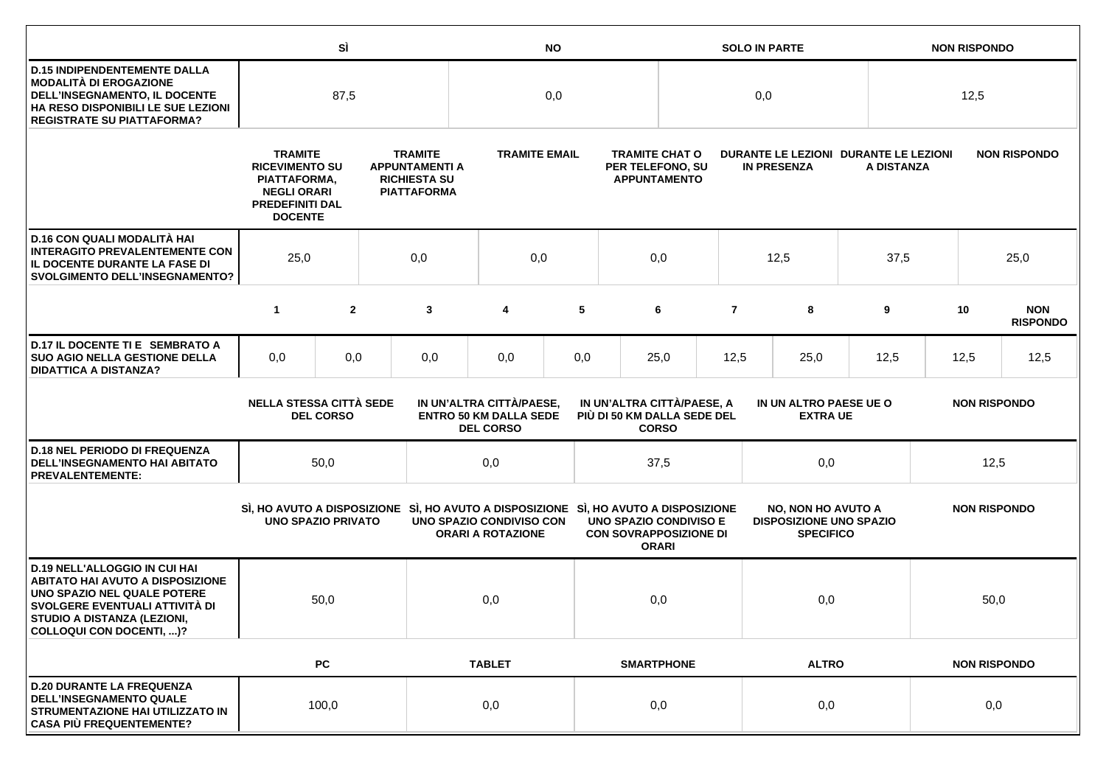|                                                                                                                                                                                                             |                                                                                                                           | SÌ               |     | <b>NO</b>                                                                            |                                                                               |     |                                                           |                                                                  | <b>NON RISPONDO</b>                                                            |                                           |                                                                                     |                     |                                                                                 |                               |  |  |                     |  |  |
|-------------------------------------------------------------------------------------------------------------------------------------------------------------------------------------------------------------|---------------------------------------------------------------------------------------------------------------------------|------------------|-----|--------------------------------------------------------------------------------------|-------------------------------------------------------------------------------|-----|-----------------------------------------------------------|------------------------------------------------------------------|--------------------------------------------------------------------------------|-------------------------------------------|-------------------------------------------------------------------------------------|---------------------|---------------------------------------------------------------------------------|-------------------------------|--|--|---------------------|--|--|
| <b>D.15 INDIPENDENTEMENTE DALLA</b><br>MODALITÀ DI EROGAZIONE<br>DELL'INSEGNAMENTO, IL DOCENTE<br>HA RESO DISPONIBILI LE SUE LEZIONI<br><b>REGISTRATE SU PIATTAFORMA?</b>                                   | 87,5                                                                                                                      |                  | 0,0 |                                                                                      |                                                                               | 0,0 |                                                           |                                                                  |                                                                                | 12,5                                      |                                                                                     |                     |                                                                                 |                               |  |  |                     |  |  |
|                                                                                                                                                                                                             | <b>TRAMITE</b><br><b>RICEVIMENTO SU</b><br>PIATTAFORMA,<br><b>NEGLI ORARI</b><br><b>PREDEFINITI DAL</b><br><b>DOCENTE</b> |                  |     | <b>TRAMITE</b><br><b>APPUNTAMENTI A</b><br><b>RICHIESTA SU</b><br><b>PIATTAFORMA</b> | <b>TRAMITE EMAIL</b>                                                          |     |                                                           | <b>TRAMITE CHAT O</b><br>PER TELEFONO, SU<br><b>APPUNTAMENTO</b> | DURANTE LE LEZIONI DURANTE LE LEZIONI<br><b>IN PRESENZA</b>                    |                                           | A DISTANZA                                                                          |                     | <b>NON RISPONDO</b>                                                             |                               |  |  |                     |  |  |
| D.16 CON QUALI MODALITÀ HAI<br><b>INTERAGITO PREVALENTEMENTE CON</b><br>IL DOCENTE DURANTE LA FASE DI<br><b>SVOLGIMENTO DELL'INSEGNAMENTO?</b>                                                              | 25,0<br>0,0                                                                                                               |                  |     | 0,0                                                                                  |                                                                               | 0,0 |                                                           |                                                                  | 12,5                                                                           | 37,5                                      |                                                                                     | 25,0                |                                                                                 |                               |  |  |                     |  |  |
|                                                                                                                                                                                                             | $\mathbf{1}$                                                                                                              | $\overline{2}$   |     | 3                                                                                    | 4                                                                             | 5   |                                                           | 6                                                                | $\overline{7}$                                                                 | 8                                         | 9                                                                                   |                     | 10                                                                              | <b>NON</b><br><b>RISPONDO</b> |  |  |                     |  |  |
| D.17 IL DOCENTE TI E SEMBRATO A<br><b>SUO AGIO NELLA GESTIONE DELLA</b><br><b>DIDATTICA A DISTANZA?</b>                                                                                                     | 0,0                                                                                                                       | 0,0              |     | 0,0                                                                                  | 0,0                                                                           | 0,0 | 25,0                                                      |                                                                  | 12,5                                                                           | 25,0                                      | 12,5                                                                                |                     | 12,5                                                                            | 12,5                          |  |  |                     |  |  |
|                                                                                                                                                                                                             | <b>NELLA STESSA CITTÀ SEDE</b>                                                                                            | <b>DEL CORSO</b> |     |                                                                                      | IN UN'ALTRA CITTÀ/PAESE,<br><b>ENTRO 50 KM DALLA SEDE</b><br><b>DEL CORSO</b> |     | IN UN'ALTRA CITTÀ/PAESE, A<br>PIÙ DI 50 KM DALLA SEDE DEL | <b>CORSO</b>                                                     |                                                                                | IN UN ALTRO PAESE UE O<br><b>EXTRA UE</b> |                                                                                     |                     | <b>NON RISPONDO</b>                                                             |                               |  |  |                     |  |  |
| <b>D.18 NEL PERIODO DI FREQUENZA</b><br>DELL'INSEGNAMENTO HAI ABITATO<br><b>PREVALENTEMENTE:</b>                                                                                                            |                                                                                                                           | 50,0             |     | 0,0<br>37,5                                                                          |                                                                               |     | 0,0                                                       |                                                                  |                                                                                | 12,5                                      |                                                                                     |                     |                                                                                 |                               |  |  |                     |  |  |
|                                                                                                                                                                                                             | <b>UNO SPAZIO PRIVATO</b>                                                                                                 |                  |     |                                                                                      | UNO SPAZIO CONDIVISO CON<br><b>ORARI A ROTAZIONE</b>                          |     |                                                           |                                                                  | <b>UNO SPAZIO CONDIVISO E</b><br><b>CON SOVRAPPOSIZIONE DI</b><br><b>ORARI</b> |                                           | SI, HO AVUTO A DISPOSIZIONE SI, HO AVUTO A DISPOSIZIONE SI, HO AVUTO A DISPOSIZIONE |                     | <b>NO, NON HO AVUTO A</b><br><b>DISPOSIZIONE UNO SPAZIO</b><br><b>SPECIFICO</b> |                               |  |  | <b>NON RISPONDO</b> |  |  |
| <b>D.19 NELL'ALLOGGIO IN CUI HAI</b><br><b>ABITATO HAI AVUTO A DISPOSIZIONE</b><br>UNO SPAZIO NEL QUALE POTERE<br>SVOLGERE EVENTUALI ATTIVITÀ DI<br>STUDIO A DISTANZA (LEZIONI,<br>COLLOQUI CON DOCENTI, )? |                                                                                                                           | 50,0             |     |                                                                                      | 0,0                                                                           |     | 0,0                                                       |                                                                  | 0,0                                                                            |                                           |                                                                                     |                     | 50,0                                                                            |                               |  |  |                     |  |  |
|                                                                                                                                                                                                             |                                                                                                                           | PC               |     |                                                                                      | <b>TABLET</b>                                                                 |     |                                                           | <b>SMARTPHONE</b>                                                | <b>ALTRO</b>                                                                   |                                           |                                                                                     | <b>NON RISPONDO</b> |                                                                                 |                               |  |  |                     |  |  |
| <b>D.20 DURANTE LA FREQUENZA</b><br><b>DELL'INSEGNAMENTO QUALE</b><br>STRUMENTAZIONE HAI UTILIZZATO IN<br><b>CASA PIÙ FREQUENTEMENTE?</b>                                                                   |                                                                                                                           | 100,0            |     |                                                                                      | 0,0                                                                           |     |                                                           | 0,0                                                              | 0,0                                                                            |                                           |                                                                                     | 0,0                 |                                                                                 |                               |  |  |                     |  |  |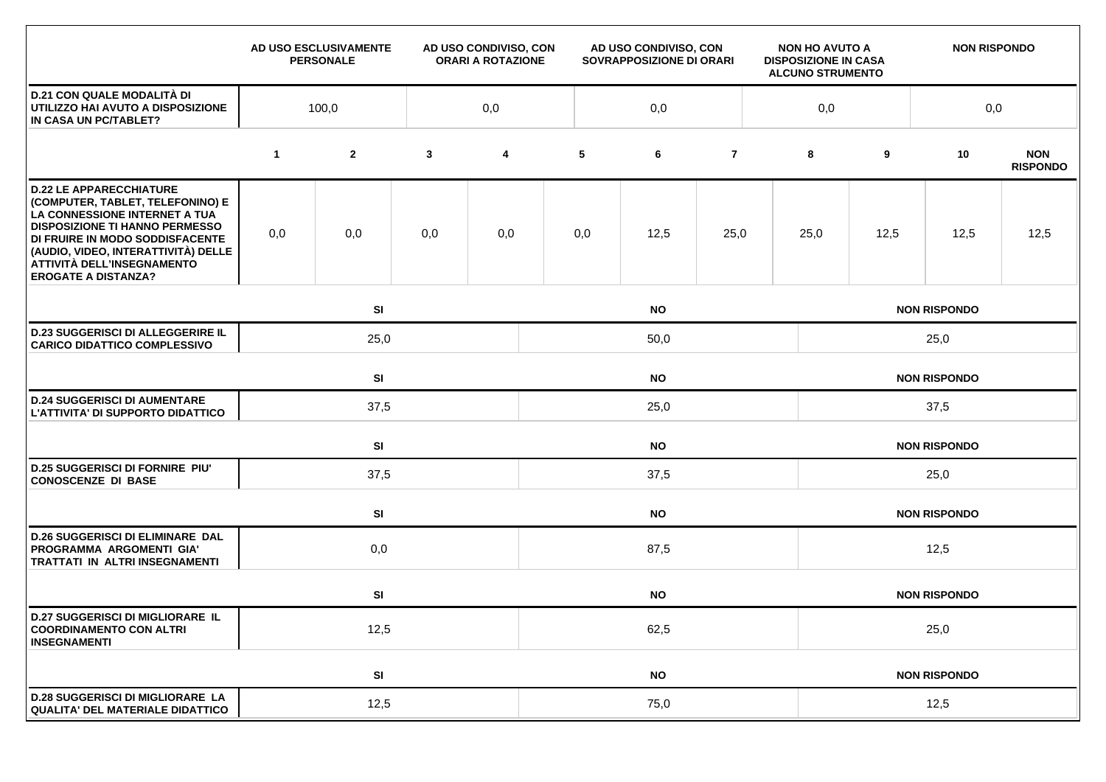|                                                                                                                                                                                                                                                                                    |              | AD USO ESCLUSIVAMENTE<br><b>PERSONALE</b> |              | AD USO CONDIVISO, CON<br><b>ORARI A ROTAZIONE</b> |           | AD USO CONDIVISO, CON<br>SOVRAPPOSIZIONE DI ORARI |                |  | <b>NON HO AVUTO A</b><br><b>DISPOSIZIONE IN CASA</b><br><b>ALCUNO STRUMENTO</b> |                     | <b>NON RISPONDO</b> |                               |  |  |
|------------------------------------------------------------------------------------------------------------------------------------------------------------------------------------------------------------------------------------------------------------------------------------|--------------|-------------------------------------------|--------------|---------------------------------------------------|-----------|---------------------------------------------------|----------------|--|---------------------------------------------------------------------------------|---------------------|---------------------|-------------------------------|--|--|
| <b>D.21 CON QUALE MODALITÀ DI</b><br>UTILIZZO HAI AVUTO A DISPOSIZIONE<br>IN CASA UN PC/TABLET?                                                                                                                                                                                    | 100,0<br>0,0 |                                           |              |                                                   | 0,0       |                                                   |                |  |                                                                                 |                     |                     | 0,0                           |  |  |
|                                                                                                                                                                                                                                                                                    | $\mathbf 1$  | $\mathbf{2}$                              | $\mathbf{3}$ | 4                                                 | 5         | 6                                                 | $\overline{7}$ |  | 8                                                                               | 9                   | 10                  | <b>NON</b><br><b>RISPONDO</b> |  |  |
| <b>D.22 LE APPARECCHIATURE</b><br>(COMPUTER, TABLET, TELEFONINO) E<br>LA CONNESSIONE INTERNET A TUA<br><b>DISPOSIZIONE TI HANNO PERMESSO</b><br>DI FRUIRE IN MODO SODDISFACENTE<br>(AUDIO, VIDEO, INTERATTIVITÀ) DELLE<br>ATTIVITÀ DELL'INSEGNAMENTO<br><b>EROGATE A DISTANZA?</b> | 0,0          | 0,0                                       | 0,0          | 0,0                                               | 0,0       | 12,5                                              | 25,0           |  | 25,0                                                                            | 12,5                | 12,5                | 12,5                          |  |  |
|                                                                                                                                                                                                                                                                                    |              | SI<br><b>NO</b>                           |              |                                                   |           |                                                   |                |  | <b>NON RISPONDO</b>                                                             |                     |                     |                               |  |  |
| <b>D.23 SUGGERISCI DI ALLEGGERIRE IL</b><br><b>CARICO DIDATTICO COMPLESSIVO</b>                                                                                                                                                                                                    |              | 25,0<br>50,0                              |              |                                                   |           |                                                   |                |  | 25,0                                                                            |                     |                     |                               |  |  |
|                                                                                                                                                                                                                                                                                    |              | SI<br><b>NO</b>                           |              |                                                   |           |                                                   |                |  | <b>NON RISPONDO</b>                                                             |                     |                     |                               |  |  |
| <b>D.24 SUGGERISCI DI AUMENTARE</b><br>L'ATTIVITA' DI SUPPORTO DIDATTICO                                                                                                                                                                                                           |              | 37,5                                      |              |                                                   | 25,0      |                                                   |                |  |                                                                                 | 37,5                |                     |                               |  |  |
|                                                                                                                                                                                                                                                                                    |              | SI                                        |              |                                                   | <b>NO</b> |                                                   |                |  |                                                                                 |                     | <b>NON RISPONDO</b> |                               |  |  |
| <b>D.25 SUGGERISCI DI FORNIRE PIU'</b><br><b>CONOSCENZE DI BASE</b>                                                                                                                                                                                                                |              | 37,5                                      |              |                                                   | 37,5      |                                                   |                |  |                                                                                 | 25,0                |                     |                               |  |  |
|                                                                                                                                                                                                                                                                                    |              | SI                                        |              | <b>NO</b>                                         |           |                                                   |                |  |                                                                                 | <b>NON RISPONDO</b> |                     |                               |  |  |
| <b>D.26 SUGGERISCI DI ELIMINARE DAL</b><br>PROGRAMMA ARGOMENTI GIA'<br>TRATTATI IN ALTRI INSEGNAMENTI                                                                                                                                                                              |              | 0,0                                       |              |                                                   |           | 87,5                                              |                |  |                                                                                 | 12,5                |                     |                               |  |  |
|                                                                                                                                                                                                                                                                                    |              | SI                                        |              | <b>NO</b>                                         |           |                                                   |                |  |                                                                                 | <b>NON RISPONDO</b> |                     |                               |  |  |
| <b>D.27 SUGGERISCI DI MIGLIORARE IL</b><br><b>COORDINAMENTO CON ALTRI</b><br><b>INSEGNAMENTI</b>                                                                                                                                                                                   |              | 12,5                                      |              |                                                   | 62,5      |                                                   |                |  |                                                                                 | 25,0                |                     |                               |  |  |
|                                                                                                                                                                                                                                                                                    |              | SI                                        |              |                                                   |           | <b>NO</b>                                         |                |  |                                                                                 |                     | <b>NON RISPONDO</b> |                               |  |  |
| <b>D.28 SUGGERISCI DI MIGLIORARE LA</b><br><b>QUALITA' DEL MATERIALE DIDATTICO</b>                                                                                                                                                                                                 |              | 12,5                                      |              |                                                   |           | 75,0                                              |                |  |                                                                                 |                     | 12,5                |                               |  |  |